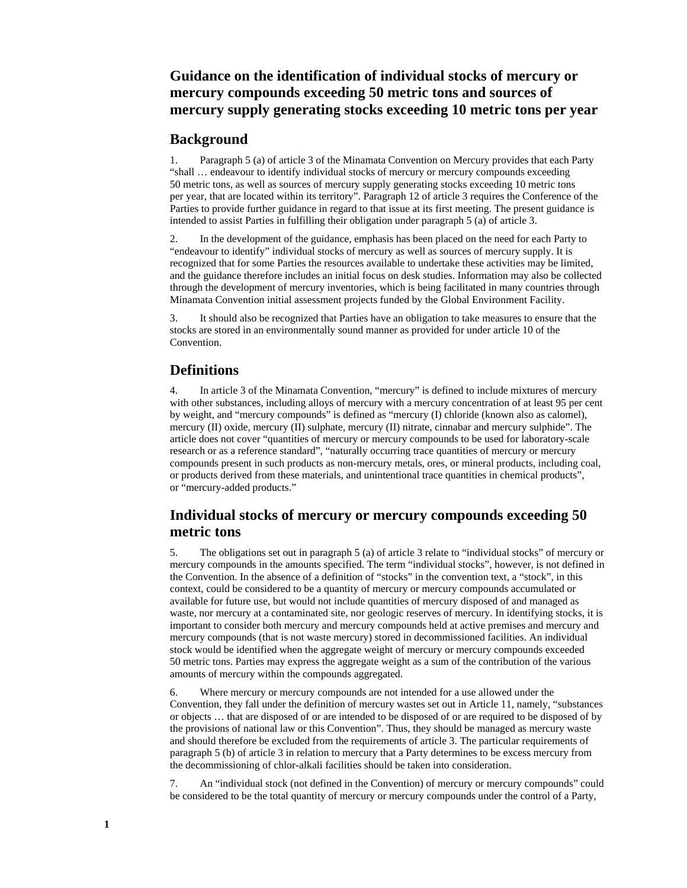# **Guidance on the identification of individual stocks of mercury or mercury compounds exceeding 50 metric tons and sources of mercury supply generating stocks exceeding 10 metric tons per year**

#### **Background**

1. Paragraph 5 (a) of article 3 of the Minamata Convention on Mercury provides that each Party "shall … endeavour to identify individual stocks of mercury or mercury compounds exceeding 50 metric tons, as well as sources of mercury supply generating stocks exceeding 10 metric tons per year, that are located within its territory". Paragraph 12 of article 3 requires the Conference of the Parties to provide further guidance in regard to that issue at its first meeting. The present guidance is intended to assist Parties in fulfilling their obligation under paragraph 5 (a) of article 3.

2. In the development of the guidance, emphasis has been placed on the need for each Party to "endeavour to identify" individual stocks of mercury as well as sources of mercury supply. It is recognized that for some Parties the resources available to undertake these activities may be limited, and the guidance therefore includes an initial focus on desk studies. Information may also be collected through the development of mercury inventories, which is being facilitated in many countries through Minamata Convention initial assessment projects funded by the Global Environment Facility.

3. It should also be recognized that Parties have an obligation to take measures to ensure that the stocks are stored in an environmentally sound manner as provided for under article 10 of the **Convention** 

### **Definitions**

4. In article 3 of the Minamata Convention, "mercury" is defined to include mixtures of mercury with other substances, including alloys of mercury with a mercury concentration of at least 95 per cent by weight, and "mercury compounds" is defined as "mercury (I) chloride (known also as calomel), mercury (II) oxide, mercury (II) sulphate, mercury (II) nitrate, cinnabar and mercury sulphide". The article does not cover "quantities of mercury or mercury compounds to be used for laboratory-scale research or as a reference standard", "naturally occurring trace quantities of mercury or mercury compounds present in such products as non-mercury metals, ores, or mineral products, including coal, or products derived from these materials, and unintentional trace quantities in chemical products", or "mercury-added products."

# **Individual stocks of mercury or mercury compounds exceeding 50 metric tons**

5. The obligations set out in paragraph 5 (a) of article 3 relate to "individual stocks" of mercury or mercury compounds in the amounts specified. The term "individual stocks", however, is not defined in the Convention. In the absence of a definition of "stocks" in the convention text, a "stock", in this context, could be considered to be a quantity of mercury or mercury compounds accumulated or available for future use, but would not include quantities of mercury disposed of and managed as waste, nor mercury at a contaminated site, nor geologic reserves of mercury. In identifying stocks, it is important to consider both mercury and mercury compounds held at active premises and mercury and mercury compounds (that is not waste mercury) stored in decommissioned facilities. An individual stock would be identified when the aggregate weight of mercury or mercury compounds exceeded 50 metric tons. Parties may express the aggregate weight as a sum of the contribution of the various amounts of mercury within the compounds aggregated.

6. Where mercury or mercury compounds are not intended for a use allowed under the Convention, they fall under the definition of mercury wastes set out in Article 11, namely, "substances or objects … that are disposed of or are intended to be disposed of or are required to be disposed of by the provisions of national law or this Convention". Thus, they should be managed as mercury waste and should therefore be excluded from the requirements of article 3. The particular requirements of paragraph 5 (b) of article 3 in relation to mercury that a Party determines to be excess mercury from the decommissioning of chlor-alkali facilities should be taken into consideration.

7. An "individual stock (not defined in the Convention) of mercury or mercury compounds" could be considered to be the total quantity of mercury or mercury compounds under the control of a Party,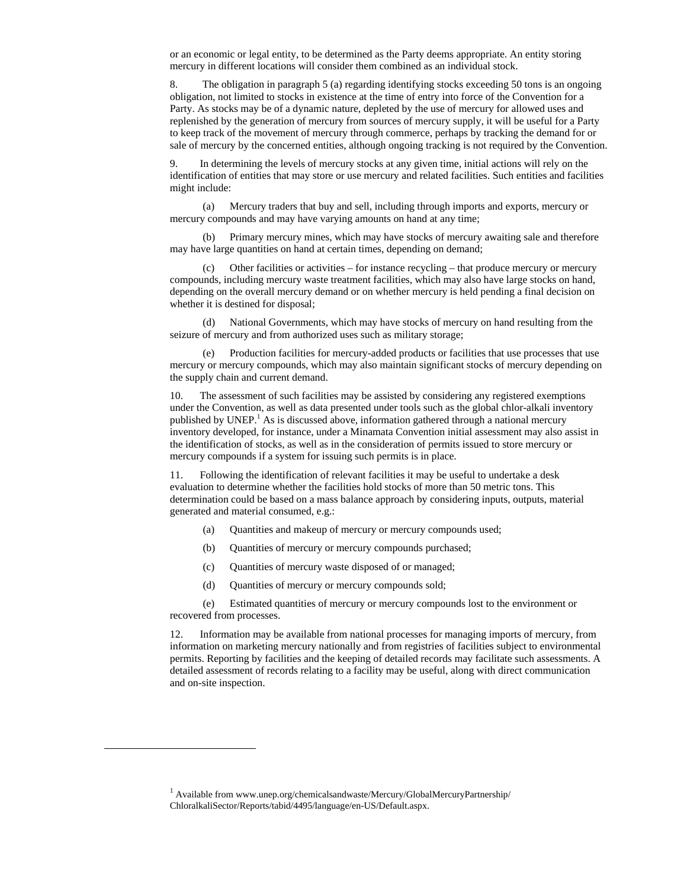or an economic or legal entity, to be determined as the Party deems appropriate. An entity storing mercury in different locations will consider them combined as an individual stock.

8. The obligation in paragraph 5 (a) regarding identifying stocks exceeding 50 tons is an ongoing obligation, not limited to stocks in existence at the time of entry into force of the Convention for a Party. As stocks may be of a dynamic nature, depleted by the use of mercury for allowed uses and replenished by the generation of mercury from sources of mercury supply, it will be useful for a Party to keep track of the movement of mercury through commerce, perhaps by tracking the demand for or sale of mercury by the concerned entities, although ongoing tracking is not required by the Convention.

In determining the levels of mercury stocks at any given time, initial actions will rely on the identification of entities that may store or use mercury and related facilities. Such entities and facilities might include:

(a) Mercury traders that buy and sell, including through imports and exports, mercury or mercury compounds and may have varying amounts on hand at any time;

(b) Primary mercury mines, which may have stocks of mercury awaiting sale and therefore may have large quantities on hand at certain times, depending on demand;

(c) Other facilities or activities – for instance recycling – that produce mercury or mercury compounds, including mercury waste treatment facilities, which may also have large stocks on hand, depending on the overall mercury demand or on whether mercury is held pending a final decision on whether it is destined for disposal;

(d) National Governments, which may have stocks of mercury on hand resulting from the seizure of mercury and from authorized uses such as military storage;

(e) Production facilities for mercury-added products or facilities that use processes that use mercury or mercury compounds, which may also maintain significant stocks of mercury depending on the supply chain and current demand.

10. The assessment of such facilities may be assisted by considering any registered exemptions under the Convention, as well as data presented under tools such as the global chlor-alkali inventory published by UNEP.<sup>1</sup> As is discussed above, information gathered through a national mercury inventory developed, for instance, under a Minamata Convention initial assessment may also assist in the identification of stocks, as well as in the consideration of permits issued to store mercury or mercury compounds if a system for issuing such permits is in place.

11. Following the identification of relevant facilities it may be useful to undertake a desk evaluation to determine whether the facilities hold stocks of more than 50 metric tons. This determination could be based on a mass balance approach by considering inputs, outputs, material generated and material consumed, e.g.:

- (a) Quantities and makeup of mercury or mercury compounds used;
- (b) Quantities of mercury or mercury compounds purchased;
- (c) Quantities of mercury waste disposed of or managed;
- (d) Quantities of mercury or mercury compounds sold;

(e) Estimated quantities of mercury or mercury compounds lost to the environment or recovered from processes.

12. Information may be available from national processes for managing imports of mercury, from information on marketing mercury nationally and from registries of facilities subject to environmental permits. Reporting by facilities and the keeping of detailed records may facilitate such assessments. A detailed assessment of records relating to a facility may be useful, along with direct communication and on-site inspection.

 $\overline{a}$ 

<sup>&</sup>lt;sup>1</sup> Available from www.unep.org/chemicalsandwaste/Mercury/GlobalMercuryPartnership/ ChloralkaliSector/Reports/tabid/4495/language/en-US/Default.aspx.